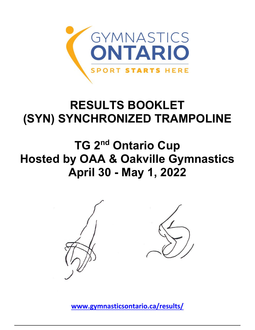

## **RESULTS BOOKLET (SYN) SYNCHRONIZED TRAMPOLINE**

## **TG 2nd Ontario Cup Hosted by OAA & Oakville Gymnastics April 30 - May 1, 2022**





**[www.gymnasticsontario.ca/results/](https://www.gymnasticsontario.ca/results/)**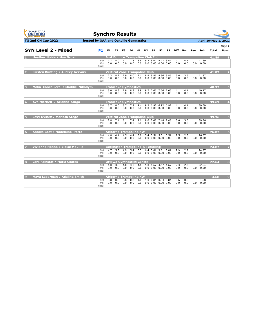| <b>GYMNASTICS</b><br>ONTARIO<br><b>SPORT STARTS HERE</b> | <b>Synchro Results</b>                |            |                |            |                                             |            |          |                                                  |                |            |            |     |                           |                      |                |
|----------------------------------------------------------|---------------------------------------|------------|----------------|------------|---------------------------------------------|------------|----------|--------------------------------------------------|----------------|------------|------------|-----|---------------------------|----------------------|----------------|
| <b>TG 2nd ON Cup 2022</b>                                | hosted by OAA and Oakville Gymnastics |            |                |            |                                             |            |          |                                                  |                |            |            |     |                           | April 29-May 1, 2022 |                |
|                                                          |                                       |            |                |            |                                             |            |          |                                                  |                |            |            |     |                           |                      | Page 1         |
| <b>SYN Level 2 - Mixed</b>                               | P <sub>1</sub>                        | E1         | E <sub>2</sub> | E3         | E4                                          |            | H1 H2 S1 | S2                                               | S <sub>3</sub> | Diff       | <b>Bon</b> | Pen | Sub                       | Total                | Posn           |
| <b>Heather Noble / Mya Grosz</b>                         |                                       |            |                |            | Just Bounce Trampoline Club Inc.            |            |          |                                                  |                |            |            |     |                           | 41.89                | п              |
|                                                          | Set<br>Vol<br>Final                   | 7.7<br>0.0 | 8.0<br>0.0     | 7.7<br>0.0 | 7.8<br>0.0                                  | 8.8<br>0.0 |          | 9.2 8.47 8.47 8.47<br>$0.0$ $0.00$ $0.00$ $0.00$ |                | 4.1<br>0.0 | 4.1<br>0.0 |     | 41.89<br>$0.0 \quad 0.00$ |                      |                |
| <b>Kristen Bunting / Audrey Gervais</b>                  |                                       |            |                |            | <b>Vertical Zone Trampoline Club</b>        |            |          |                                                  |                |            |            |     |                           | 41.87                | $\overline{2}$ |
|                                                          | Set<br>Vol<br>Final                   | 7.3<br>0.0 | 8.2<br>0.0     | 7.9<br>0.0 | 8.0<br>0.0                                  | 9.1<br>0.0 |          | 8.9 8.86 8.86 8.86<br>$0.0$ $0.00$ $0.00$ $0.00$ |                | 3.6<br>0.0 | 3.6<br>0.0 |     | 41.87<br>$0.0 \quad 0.00$ |                      |                |
| Malia Cancelliere / Maddie Nikodym<br>в                  |                                       |            |                |            | <b>Etobicoke Gymnastics</b>                 |            |          |                                                  |                |            |            |     |                           | 40.97                | в              |
|                                                          | Set<br>Vol<br>Final                   | 8.0<br>0.0 | 8.3<br>0.0     | 7.9<br>0.0 | 8.3<br>0.0                                  | 8.9<br>0.0 |          | 9.7 7.66 7.66 7.66<br>$0.0$ $0.00$ $0.00$ $0.00$ |                | 4.1<br>0.0 | 4.1<br>0.0 |     | 40.97<br>$0.0 \quad 0.00$ |                      |                |
| Ava Mitchell / Arianna Sluga                             |                                       |            |                |            | <b>Etobicoke Gymnastics</b>                 |            |          |                                                  |                |            |            |     |                           | 39.69                | 4              |
|                                                          | Set<br>Vol<br>Final                   | 8.7<br>0.0 | 8.0<br>0.0     | 8.7<br>0.0 | 7.8<br>0.0                                  | 9.4<br>0.0 |          | 9.2 6.92 6.92 6.92<br>$0.0$ $0.00$ $0.00$ $0.00$ |                | 4.1<br>0.0 | 4.1<br>0.0 |     | 39.69<br>$0.0 \quad 0.00$ |                      |                |
| Lexy Dysarz / Marissa Stege                              |                                       |            |                |            | Vertical Zone Trampoline Club               |            |          |                                                  |                |            |            |     |                           | 39.36                |                |
|                                                          | Set<br>Vol<br>Final                   | 7.8<br>0.0 | 7.4<br>0.0     | 8.1<br>0.0 | 7.4<br>0.0                                  | 9.6<br>0.0 |          | 9.6 7.48 7.48 7.48<br>$0.0$ $0.00$ $0.00$ $0.00$ |                | 3.6<br>0.0 | 3.6<br>0.0 |     | 39.36<br>$0.0 \quad 0.00$ |                      |                |
| Annika Best / Madeleine Porto                            |                                       |            |                |            | <b>Airborne Trampoline KW</b>               |            |          |                                                  |                |            |            |     |                           | 26.07                | $\sqrt{6}$     |
|                                                          | Set<br>Vol<br>Final                   | 4.8<br>0.0 | 4.4<br>0.0     | 4.5<br>0.0 | 4.4<br>0.0                                  | 5.8<br>0.0 |          | 5.4 5.51 5.51 5.51<br>$0.0$ $0.00$ $0.00$ $0.00$ |                | 2.5<br>0.0 | 2.5<br>0.0 |     | 26.07<br>0.0 0.00         |                      |                |
| Vivienne Hanna / Eloise Mouille                          |                                       |            |                |            | <b>Burlington Trampoline &amp; Tumbling</b> |            |          |                                                  |                |            |            |     |                           | 24.87                |                |
|                                                          | Set<br>Vol<br>Final                   | 4.7<br>0.0 | 5.3<br>0.0     | 4.9<br>0.0 | 5.4<br>0.0                                  | 6.3<br>0.0 |          | 6.4 3.81 3.81 3.81<br>$0.0$ $0.00$ $0.00$ $0.00$ |                | 2.9<br>0.0 | 2.9<br>0.0 |     | 24.87<br>$0.0 \quad 0.00$ |                      |                |
| Lara Fainstat / Maria Coates                             |                                       |            |                |            | <b>Ottawa Gymnastics Centre</b>             |            |          |                                                  |                |            |            |     |                           | 22.64                | $\mathbf{a}$   |
|                                                          | Set<br>Vol<br>Final                   | 4.0<br>0.0 | 3.8<br>0.0     | 4.0<br>0.0 | 3.7<br>0.0                                  | 4.6<br>0.0 |          | 5.0 4.67 4.67 4.67<br>$0.0$ $0.00$ $0.00$ $0.00$ |                | 2.3<br>0.0 | 2.3<br>0.0 |     | 22.64<br>0.0 0.00         |                      |                |
| Maya Lederman / Adaline Smith                            |                                       |            |                |            | <b>Airborne Trampoline KW</b>               |            |          |                                                  |                |            |            |     |                           | 4.68                 |                |
|                                                          | Set<br>Vol<br>Final                   | 0.8<br>0.0 | 0.8<br>0.0     | 0.8<br>0.0 | 0.8<br>0.0                                  | 1.0<br>0.0 |          | 1.0 0.84 0.84 0.84<br>$0.0$ $0.00$ $0.00$ $0.00$ |                | 0.6<br>0.0 | 0.6<br>0.0 | 0.0 | 4.68<br>0.00              |                      |                |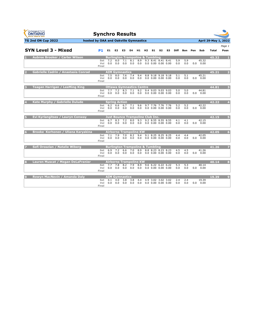| <b>GYMNASTICS</b><br>ONTARIO<br><b>SPORT STARTS HERE</b> | <b>Synchro Results</b>                |                                    |            |                                                           |            |            |                                                  |                |                |            |            |     |                           |                      |                 |
|----------------------------------------------------------|---------------------------------------|------------------------------------|------------|-----------------------------------------------------------|------------|------------|--------------------------------------------------|----------------|----------------|------------|------------|-----|---------------------------|----------------------|-----------------|
| TG 2nd ON Cup 2022                                       | hosted by OAA and Oakville Gymnastics |                                    |            |                                                           |            |            |                                                  |                |                |            |            |     |                           | April 29-May 1, 2022 |                 |
| <b>SYN Level 3 - Mixed</b>                               | P1                                    | E1.                                | E2         | E3                                                        | E4         | H1.        | H2 S1                                            | S <sub>2</sub> | S <sub>3</sub> |            | Diff Bon   | Pen | Sub                       | <b>Total</b>         | Page 1<br>Posn  |
| <b>Aubree Brooker / Carter Wilson</b>                    | Set<br>Vol<br>Final                   | 7.2<br>0.0                         | 8.0<br>0.0 | <b>Burlington Trampoline &amp; Tumbling</b><br>7.1<br>0.0 | 8.1<br>0.0 | 8.9<br>0.0 | 9.3 8.41 8.41 8.41<br>$0.0$ $0.00$ $0.00$ $0.00$ |                |                | 5.9<br>0.0 | 5.9<br>0.0 |     | 45.32<br>$0.0 \quad 0.00$ | 45.32                |                 |
| <b>Gabrielle Cadrin / Anastasia Conrad</b><br>2          | Set<br>Vol<br>Final                   | 7.5<br>0.0                         | 8.0<br>0.0 | <b>AIM Gymnastics</b><br>7.6<br>0.0                       | 7.4<br>0.0 | 9.4<br>0.0 | 8.8 9.18 9.18 9.18<br>$0.0$ $0.00$ $0.00$ $0.00$ |                |                | 5.1<br>0.0 | 5.1<br>0.0 | 0.0 | 45.21<br>0.00             | 45.21                |                 |
| <b>Teagan Harrigan / LeeMing King</b>                    | Set<br>Vol<br>Final                   | 7.7<br>0.0                         | 7.2<br>0.0 | <b>Ottawa Gymnastics Centre</b><br>8.3<br>0.0             | 7.1<br>0.0 | 9.2<br>0.0 | 9.4 9.03 9.03 9.03<br>$0.0$ $0.00$ $0.00$ $0.00$ |                |                | 5.0<br>0.0 | 5.0<br>0.0 |     | 44.81<br>$0.0 \quad 0.00$ | 44.81                | в               |
| Kate Murphy / Gabrielle Dulude                           | Set<br>Vol<br>Final                   | <b>Spring Action</b><br>6.2<br>0.0 | 6.6<br>0.0 | 6.7<br>0.0                                                | 7.1<br>0.0 | 9.6<br>0.0 | 9.7 7.76 7.76 7.76<br>$0.0$ $0.00$ $0.00$ $0.00$ |                |                | 5.2<br>0.0 | 5.2<br>0.0 |     | 42.22<br>0.0 0.00         | 42.22                |                 |
| Evi Kyrlangitses / Lauryn Conway                         | Set<br>Vol<br>Final                   | 6.7<br>0.0                         | 8.3<br>0.0 | Just Bounce Trampoline Club Inc.<br>7.2<br>0.0            | 8.0<br>0.0 | 9.3<br>0.0 | 9.2 8.55 8.55 8.55<br>$0.0$ $0.00$ $0.00$ $0.00$ |                |                | 4.1<br>0.0 | 4.1<br>0.0 |     | 42.15<br>0.0 0.00         | 42.15                | 5               |
| Brooke Korhonen / Uliana Karvakina<br>6                  | Set<br>Vol<br>Final                   | 7.1<br>0.0                         | 7.9<br>0.0 | Airborne Trampoline KW<br>7.0<br>0.0                      | 8.2<br>0.0 | 9.4<br>0.0 | 9.1 8.25 8.25 8.25<br>$0.0$ $0.00$ $0.00$ $0.00$ |                |                | 4.4<br>0.0 | 4.4<br>0.0 |     | 42.05<br>0.0 0.00         | 42.05                | $6\overline{6}$ |
| Sofi Oroszlan /<br><b>Natalie Wiberg</b>                 | Set<br>Vol<br>Final                   | 6.9<br>0.0                         | 7.2<br>0.0 | <b>Burlington Trampoline &amp; Tumbling</b><br>6.6<br>0.0 | 7.0<br>0.0 | 8.9<br>0.0 | 8.8 8.23 8.23 8.23<br>$0.0$ $0.00$ $0.00$ $0.00$ |                |                | 4.5<br>0.0 | 4.5<br>0.0 |     | 41.26<br>0.0 0.00         | 41.26                |                 |
| Lauren Muscat / Megan DeLaFranier<br>8                   | Set<br>Vol<br>Final                   | 7.7<br>0.0                         | 7.8<br>0.0 | <b>Airborne Trampoline KW</b><br>8.2<br>0.0               | 7.9<br>0.0 | 8.9<br>0.0 | 9.6 6.22 6.22 6.22<br>$0.0\,0.00\,0.00\,0.00$    |                |                | 5.3<br>0.0 | 5.3<br>0.0 |     | 40.14<br>$0.0 \quad 0.00$ | 40.14                | S.              |
| Rowyn MacNevin / Amanda Daly<br>$\epsilon$               | Set<br>Vol<br>Final                   | 4.1<br>0.0                         | 4.0<br>0.0 | <b>AIM Gymnastics</b><br>3.8<br>0.0                       | 3.8<br>0.0 | 4.4<br>0.0 | 4.9 3.02 3.02 3.02<br>$0.0$ $0.00$ $0.00$ $0.00$ |                |                | 2.4<br>0.0 | 2.4<br>0.0 |     | 19.39<br>$0.0\quad 0.00$  | 19.39                | o               |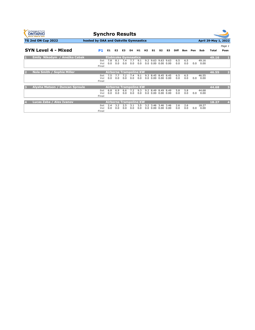| <b>GYMNASTICS</b><br><b>ONTARIO</b><br><b>SPORT STARTS NERE</b> | <b>Synchro Results</b>                |            |            |                               |            |            |     |    |                                                  |    |            |            |     |               |                      |                         |
|-----------------------------------------------------------------|---------------------------------------|------------|------------|-------------------------------|------------|------------|-----|----|--------------------------------------------------|----|------------|------------|-----|---------------|----------------------|-------------------------|
| <b>TG 2nd ON Cup 2022</b>                                       | hosted by OAA and Oakville Gymnastics |            |            |                               |            |            |     |    |                                                  |    |            |            |     |               | April 29-May 1, 2022 |                         |
|                                                                 |                                       |            |            |                               |            |            |     |    |                                                  |    |            |            |     |               |                      | Page 1                  |
| <b>SYN Level 4 - Mixed</b>                                      | <b>P1</b>                             | E1         | E2         | E3                            | E4         | H1.        | H2  | S1 | S2                                               | S3 | Diff       | Bon        | Pen | Sub           | Total                | Posn                    |
| Emily Nikodym / Anežka Cabak                                    |                                       |            |            | <b>Etobicoke Gymnastics</b>   |            |            |     |    |                                                  |    |            |            |     |               | 49.16                | $\mathbf{1}$            |
|                                                                 | Set<br>Vol<br>Final                   | 7.8<br>0.0 | 8.1<br>0.0 | 7.4<br>0.0                    | 7.7<br>0.0 | 9.1<br>0.0 |     |    | 9.2 9.63 9.63 9.63<br>$0.0$ $0.00$ $0.00$ $0.00$ |    | 6.5<br>0.0 | 6.5<br>0.0 | 0.0 | 49.16<br>0.00 |                      |                         |
| <b>Nola Smith / Sophie Miller</b><br>D                          |                                       |            |            | <b>Airborne Trampoline KW</b> |            |            |     |    |                                                  |    |            |            |     |               | 46.55                | $\overline{2}$          |
|                                                                 | Set<br>Vol<br>Final                   | 7.5<br>0.0 | 7.7<br>0.0 | 7.2<br>0.0                    | 7.4<br>0.0 | 9.1<br>0.0 | 9.3 |    | 8.45 8.45 8.45<br>$0.0$ $0.00$ $0.00$ $0.00$     |    | 6.5<br>0.0 | 6.5<br>0.0 | 0.0 | 46.55<br>0.00 |                      |                         |
| Alysha Matson / Duncan Sproule<br>в                             |                                       |            |            | <b>Airborne Trampoline KW</b> |            |            |     |    |                                                  |    |            |            |     |               | 44.68                | $\overline{\mathbf{3}}$ |
|                                                                 | Set<br>Vol<br>Final                   | 6.8<br>0.0 | 6.9<br>0.0 | 6.6<br>0.0                    | 7.2<br>0.0 | 9.3<br>0.0 |     |    | 9.2 8.49 8.49 8.49<br>$0.0$ $0.00$ $0.00$ $0.00$ |    | 5.8<br>0.0 | 5.8<br>0.0 | 0.0 | 44.68<br>0.00 |                      |                         |
| Lucas Zaba / Alex Ivanov                                        |                                       |            |            | <b>Airborne Trampoline KW</b> |            |            |     |    |                                                  |    |            |            |     |               | 18.27                | $\overline{4}$          |
|                                                                 | Set<br>Vol<br>Final                   | 2.4<br>0.0 | 3.2<br>0.0 | 2.5<br>0.0                    | 3.1<br>0.0 | 3.5<br>0.0 |     |    | 3.2 3.46 3.46 3.46<br>$0.0\,0.00\,0.00\,0.00$    |    | 2.6<br>0.0 | 2.6<br>0.0 | 0.0 | 18.27<br>0.00 |                      |                         |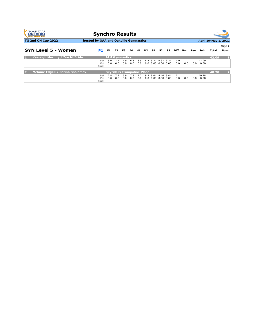| <b>GYMNASTICS</b><br><b>ONTARIO</b><br><b>SPORT STARTS HERE</b> | <b>Synchro Results</b>                |            |                |                                   |            |            |                |      |                                               |      |            |     |     |               |                      |        |
|-----------------------------------------------------------------|---------------------------------------|------------|----------------|-----------------------------------|------------|------------|----------------|------|-----------------------------------------------|------|------------|-----|-----|---------------|----------------------|--------|
| <b>TG 2nd ON Cup 2022</b>                                       | hosted by OAA and Oakville Gymnastics |            |                |                                   |            |            |                |      |                                               |      |            |     |     |               | April 29-May 1, 2022 |        |
|                                                                 |                                       |            |                |                                   |            |            |                |      |                                               |      |            |     |     |               |                      | Page 1 |
| <b>SYN Level 5 - Women</b>                                      | P1                                    | E1         | E <sub>2</sub> | E <sub>3</sub>                    | E4         | H1         | H <sub>2</sub> | S1   | S2                                            | S3   | Diff       | Bon | Pen | Sub           | Total                | Posn   |
| <b>Kaeleigh Murphy / Zoe McBride</b><br>н                       |                                       |            |                | <b>AIM Gymnastics</b>             |            |            |                |      |                                               |      |            |     |     |               | 42.09                |        |
|                                                                 | Set<br>Vol<br>Final                   | 8.0<br>0.0 | 0.0            | 7.9<br>0.0                        | 6.8<br>0.0 | 8.9<br>0.0 |                |      | 8.8 9.37 9.37 9.37<br>$0.0\,0.00\,0.00\,0.00$ |      | 7.0<br>0.0 | 0.0 | 0.0 | 42.09<br>0.00 |                      |        |
| <b>Melanie Edgell / Carina Shalamov</b><br>2                    |                                       |            |                | <b>Skyriders Trampoline Place</b> |            |            |                |      |                                               |      |            |     |     |               | 40.78                | 12     |
|                                                                 | Set<br>Vol<br>Final                   | 7.8<br>0.0 | 7.9<br>0.0     | 6.9<br>0.0                        | 7.3<br>0.0 | 9.2<br>0.0 | 9.3<br>0.0     | 0.00 | 8.44 8.44 8.44<br>0.00                        | 0.00 | 7.1<br>0.0 | 0.0 | 0.0 | 40.78<br>0.00 |                      |        |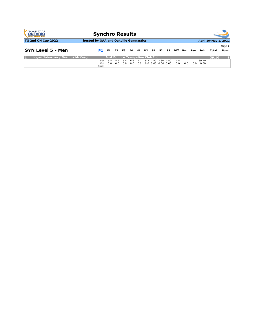| <b>GYMNASTICS</b><br><b>ONTARIO</b><br><b>SPORT STARTS HERE</b> | <b>Synchro Results</b>                |            |                |                                         |            |            |  |                                                         |    |      |            |     |     |               |                      |        |  |  |  |
|-----------------------------------------------------------------|---------------------------------------|------------|----------------|-----------------------------------------|------------|------------|--|---------------------------------------------------------|----|------|------------|-----|-----|---------------|----------------------|--------|--|--|--|
| <b>TG 2nd ON Cup 2022</b>                                       | hosted by OAA and Oakville Gymnastics |            |                |                                         |            |            |  |                                                         |    |      |            |     |     |               | April 29-May 1, 2022 |        |  |  |  |
|                                                                 |                                       |            |                |                                         |            |            |  |                                                         |    |      |            |     |     |               |                      | Page 1 |  |  |  |
| SYN Level 5 - Men                                               | P1                                    | E1         | E <sub>2</sub> | E3                                      | E4         | H1 H2      |  | S1                                                      | S2 | S3.  | Diff       | Bon | Pen | Sub           | Total                | Posn   |  |  |  |
| Logan Johnston / Seamus McKeag                                  |                                       |            |                | <b>Just Bounce Trampoline Club Inc.</b> |            |            |  |                                                         |    |      |            |     |     |               | 39.10                |        |  |  |  |
|                                                                 | Set<br>Vol<br>Final                   | 6.5<br>0.0 | 5.9<br>0.0     | 6.4<br>0.0                              | 6.6<br>0.0 | 9.2<br>0.0 |  | 9.3 7.80 7.80<br>$0.0 \quad 0.00 \quad 0.00 \quad 0.00$ |    | 7.80 | 7.8<br>0.0 | 0.0 | 0.0 | 39.10<br>0.00 |                      |        |  |  |  |